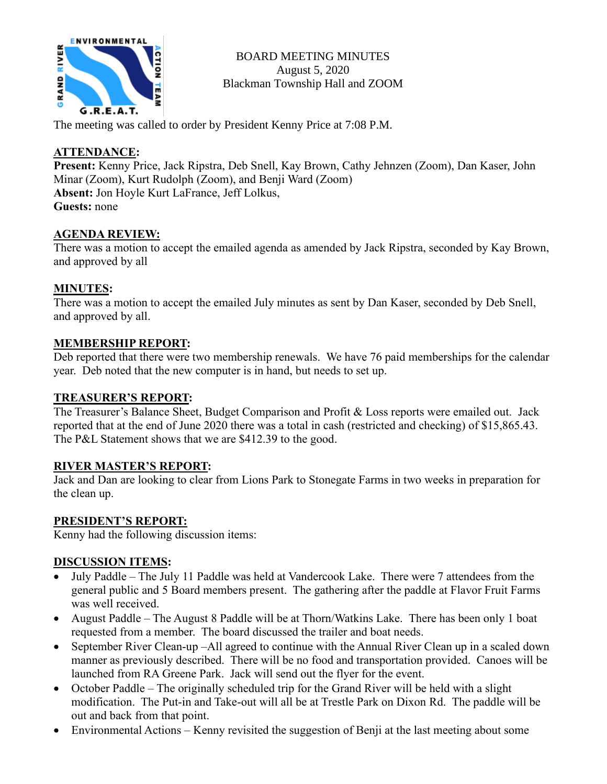

BOARD MEETING MINUTES August 5, 2020 Blackman Township Hall and ZOOM

The meeting was called to order by President Kenny Price at 7:08 P.M.

# **ATTENDANCE:**

**Present:** Kenny Price, Jack Ripstra, Deb Snell, Kay Brown, Cathy Jehnzen (Zoom), Dan Kaser, John Minar (Zoom), Kurt Rudolph (Zoom), and Benji Ward (Zoom) **Absent:** Jon Hoyle Kurt LaFrance, Jeff Lolkus, **Guests:** none

## **AGENDA REVIEW:**

There was a motion to accept the emailed agenda as amended by Jack Ripstra, seconded by Kay Brown, and approved by all

# **MINUTES:**

There was a motion to accept the emailed July minutes as sent by Dan Kaser, seconded by Deb Snell, and approved by all.

## **MEMBERSHIP REPORT:**

Deb reported that there were two membership renewals. We have 76 paid memberships for the calendar year. Deb noted that the new computer is in hand, but needs to set up.

## **TREASURER'S REPORT:**

The Treasurer's Balance Sheet, Budget Comparison and Profit & Loss reports were emailed out. Jack reported that at the end of June 2020 there was a total in cash (restricted and checking) of \$15,865.43. The P&L Statement shows that we are \$412.39 to the good.

## **RIVER MASTER'S REPORT:**

Jack and Dan are looking to clear from Lions Park to Stonegate Farms in two weeks in preparation for the clean up.

## **PRESIDENT'S REPORT:**

Kenny had the following discussion items:

## **DISCUSSION ITEMS:**

- July Paddle The July 11 Paddle was held at Vandercook Lake. There were 7 attendees from the general public and 5 Board members present. The gathering after the paddle at Flavor Fruit Farms was well received.
- August Paddle The August 8 Paddle will be at Thorn/Watkins Lake. There has been only 1 boat requested from a member. The board discussed the trailer and boat needs.
- September River Clean-up –All agreed to continue with the Annual River Clean up in a scaled down manner as previously described. There will be no food and transportation provided. Canoes will be launched from RA Greene Park. Jack will send out the flyer for the event.
- October Paddle The originally scheduled trip for the Grand River will be held with a slight modification. The Put-in and Take-out will all be at Trestle Park on Dixon Rd. The paddle will be out and back from that point.
- Environmental Actions Kenny revisited the suggestion of Benji at the last meeting about some